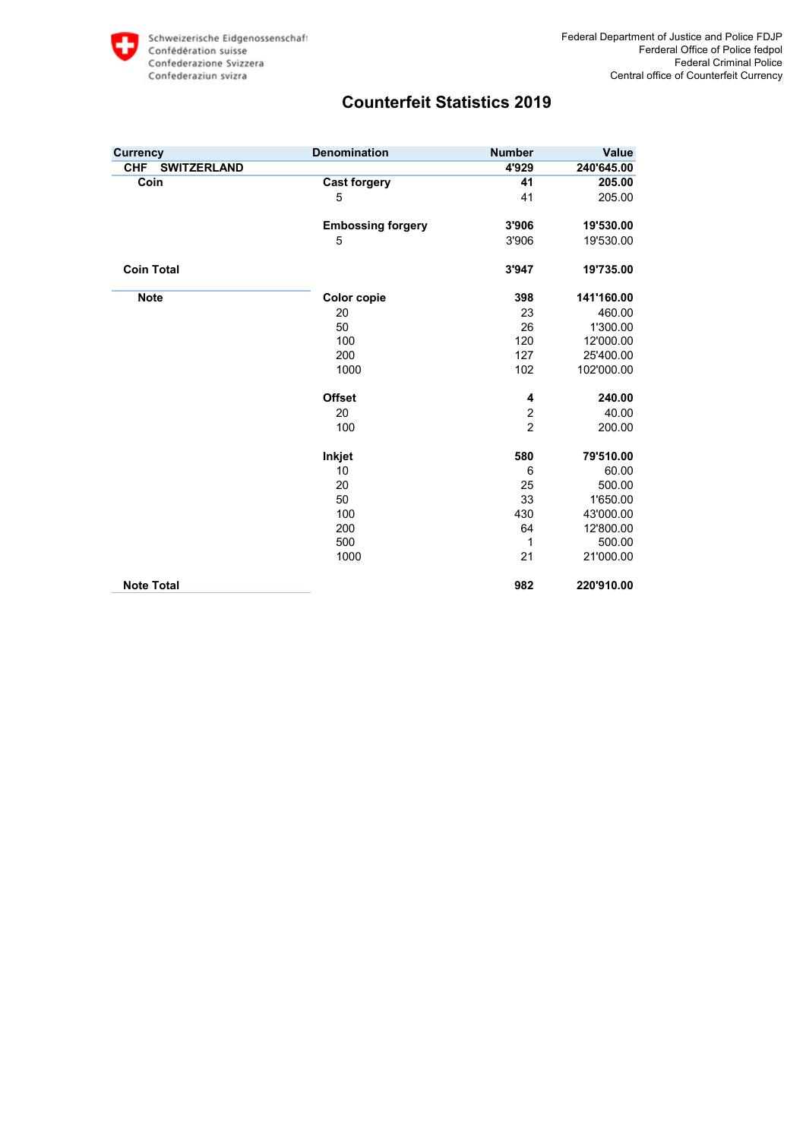| <b>Currency</b>                  | <b>Denomination</b>      | <b>Number</b>  | Value      |
|----------------------------------|--------------------------|----------------|------------|
| <b>SWITZERLAND</b><br><b>CHF</b> |                          | 4'929          | 240'645.00 |
| Coin                             | <b>Cast forgery</b>      | 41             | 205.00     |
|                                  | 5                        | 41             | 205.00     |
|                                  | <b>Embossing forgery</b> | 3'906          | 19'530.00  |
|                                  | 5                        | 3'906          | 19'530.00  |
| <b>Coin Total</b>                |                          | 3'947          | 19'735.00  |
| <b>Note</b>                      | <b>Color copie</b>       | 398            | 141'160.00 |
|                                  | 20                       | 23             | 460.00     |
|                                  | 50                       | 26             | 1'300.00   |
|                                  | 100                      | 120            | 12'000.00  |
|                                  | 200                      | 127            | 25'400.00  |
|                                  | 1000                     | 102            | 102'000.00 |
|                                  | <b>Offset</b>            | 4              | 240.00     |
|                                  | 20                       | $\overline{c}$ | 40.00      |
|                                  | 100                      | $\overline{2}$ | 200.00     |
|                                  | Inkjet                   | 580            | 79'510.00  |
|                                  | 10                       | 6              | 60.00      |
|                                  | 20                       | 25             | 500.00     |
|                                  | 50                       | 33             | 1'650.00   |
|                                  | 100                      | 430            | 43'000.00  |
|                                  | 200                      | 64             | 12'800.00  |
|                                  | 500                      | 1              | 500.00     |
|                                  | 1000                     | 21             | 21'000.00  |
| <b>Note Total</b>                |                          | 982            | 220'910.00 |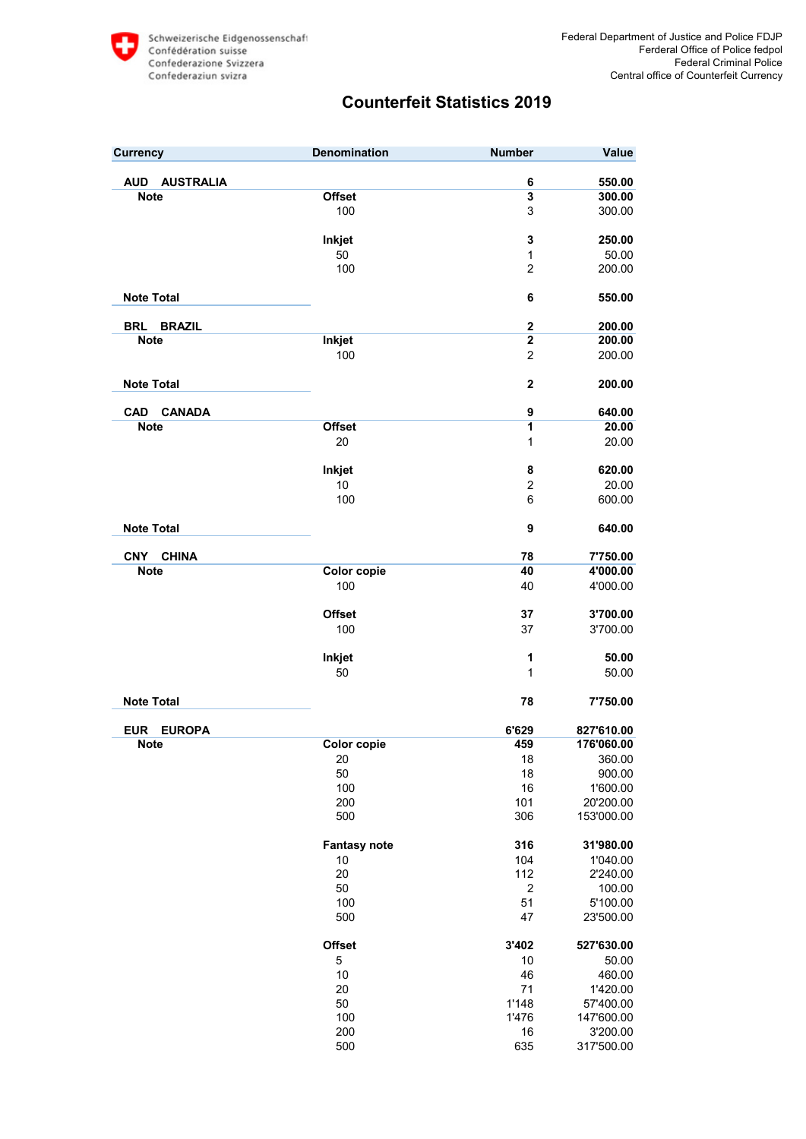| <b>Currency</b>                | <b>Denomination</b> | <b>Number</b>           | Value              |
|--------------------------------|---------------------|-------------------------|--------------------|
|                                |                     |                         |                    |
| <b>AUSTRALIA</b><br><b>AUD</b> |                     | 6                       | 550.00             |
| <b>Note</b>                    | <b>Offset</b>       | $\overline{\mathbf{3}}$ | 300.00             |
|                                | 100                 | 3                       | 300.00             |
|                                | Inkjet              | 3                       | 250.00             |
|                                | 50                  | 1                       | 50.00              |
|                                | 100                 | 2                       | 200.00             |
|                                |                     |                         |                    |
| <b>Note Total</b>              |                     | 6                       | 550.00             |
|                                |                     |                         |                    |
| <b>BRAZIL</b><br><b>BRL</b>    |                     | $\mathbf 2$             | 200.00             |
| <b>Note</b>                    | Inkjet              | $\overline{2}$          | 200.00             |
|                                | 100                 | $\overline{2}$          | 200.00             |
|                                |                     |                         |                    |
| <b>Note Total</b>              |                     | $\overline{2}$          | 200.00             |
| <b>CANADA</b><br><b>CAD</b>    |                     | 9                       | 640.00             |
| <b>Note</b>                    | <b>Offset</b>       | 1                       | 20.00              |
|                                | 20                  | 1                       | 20.00              |
|                                |                     |                         |                    |
|                                | Inkjet              | 8                       | 620.00             |
|                                | 10                  | $\overline{c}$          | 20.00              |
|                                | 100                 | 6                       | 600.00             |
|                                |                     |                         |                    |
| <b>Note Total</b>              |                     | 9                       | 640.00             |
|                                |                     |                         |                    |
| <b>CNY</b><br><b>CHINA</b>     |                     | 78                      | 7'750.00           |
| <b>Note</b>                    | <b>Color copie</b>  | 40                      | 4'000.00           |
|                                | 100                 | 40                      | 4'000.00           |
|                                |                     |                         |                    |
|                                | <b>Offset</b>       | 37                      | 3'700.00           |
|                                | 100                 | 37                      | 3'700.00           |
|                                | Inkjet              | 1                       | 50.00              |
|                                | 50                  | 1                       | 50.00              |
|                                |                     |                         |                    |
| <b>Note Total</b>              |                     | 78                      | 7'750.00           |
|                                |                     |                         |                    |
| <b>EUR</b><br><b>EUROPA</b>    |                     | 6'629                   | 827'610.00         |
| <b>Note</b>                    | <b>Color copie</b>  | 459                     | 176'060.00         |
|                                | 20                  | 18                      | 360.00             |
|                                | 50                  | 18                      | 900.00             |
|                                | 100                 | 16                      | 1'600.00           |
|                                | 200                 | 101                     | 20'200.00          |
|                                | 500                 | 306                     | 153'000.00         |
|                                |                     |                         |                    |
|                                | <b>Fantasy note</b> | 316                     | 31'980.00          |
|                                | 10                  | 104                     | 1'040.00           |
|                                | 20                  | 112<br>$\overline{c}$   | 2'240.00           |
|                                | 50<br>100           | 51                      | 100.00<br>5'100.00 |
|                                | 500                 | 47                      | 23'500.00          |
|                                |                     |                         |                    |
|                                | <b>Offset</b>       | 3'402                   | 527'630.00         |
|                                | 5                   | $10$                    | 50.00              |
|                                | 10                  | 46                      | 460.00             |
|                                | 20                  | 71                      | 1'420.00           |
|                                | 50                  | 1'148                   | 57'400.00          |
|                                | 100                 | 1'476                   | 147'600.00         |
|                                | 200                 | 16                      | 3'200.00           |
|                                | 500                 | 635                     | 317'500.00         |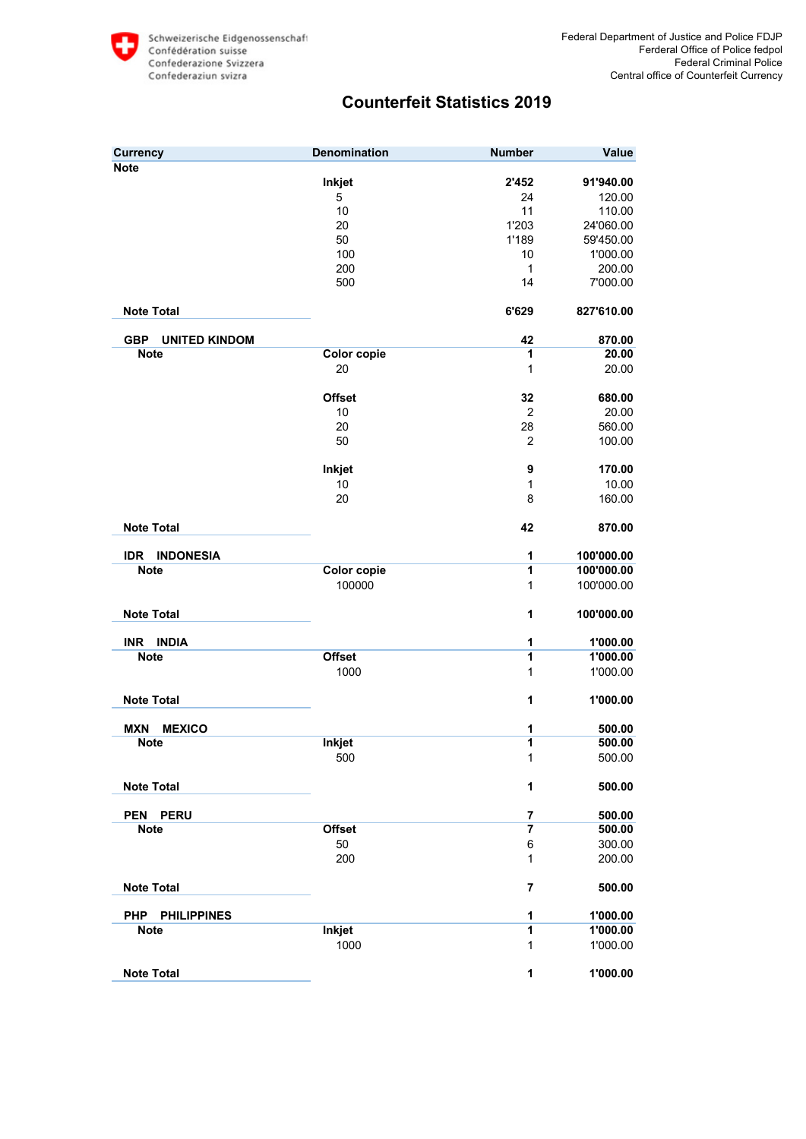| <b>Currency</b>                    | <b>Denomination</b> | <b>Number</b>  | Value      |
|------------------------------------|---------------------|----------------|------------|
| <b>Note</b>                        |                     |                |            |
|                                    | Inkjet              | 2'452          | 91'940.00  |
|                                    | 5                   | 24             | 120.00     |
|                                    | 10                  | 11             | 110.00     |
|                                    | 20                  | 1'203          | 24'060.00  |
|                                    | 50                  | 1'189          | 59'450.00  |
|                                    | 100                 | 10             | 1'000.00   |
|                                    | 200                 | $\mathbf{1}$   | 200.00     |
|                                    | 500                 | 14             | 7'000.00   |
| <b>Note Total</b>                  |                     | 6'629          | 827'610.00 |
| <b>GBP</b><br><b>UNITED KINDOM</b> |                     | 42             | 870.00     |
| <b>Note</b>                        | <b>Color copie</b>  | 1              | 20.00      |
|                                    | 20                  | 1              | 20.00      |
|                                    |                     |                |            |
|                                    | <b>Offset</b>       | 32             | 680.00     |
|                                    | 10                  | $\overline{c}$ | 20.00      |
|                                    | 20                  | 28             | 560.00     |
|                                    | 50                  | 2              | 100.00     |
|                                    |                     |                |            |
|                                    | Inkjet              | 9              | 170.00     |
|                                    | 10                  | $\mathbf{1}$   | 10.00      |
|                                    | 20                  | 8              | 160.00     |
| <b>Note Total</b>                  |                     | 42             | 870.00     |
| <b>INDONESIA</b><br><b>IDR</b>     |                     | 1              | 100'000.00 |
| <b>Note</b>                        | Color copie         | 1              | 100'000.00 |
|                                    | 100000              | $\mathbf{1}$   | 100'000.00 |
| <b>Note Total</b>                  |                     | 1              | 100'000.00 |
| <b>INDIA</b><br>INR.               |                     | 1              | 1'000.00   |
| <b>Note</b>                        | <b>Offset</b>       | 1              | 1'000.00   |
|                                    | 1000                | 1              | 1'000.00   |
| <b>Note Total</b>                  |                     | 1              | 1'000.00   |
| <b>MXN</b><br><b>MEXICO</b>        |                     | 1              | 500.00     |
| <b>Note</b>                        | <b>Inkjet</b>       | 1              | 500.00     |
|                                    | 500                 | 1              | 500.00     |
| <b>Note Total</b>                  |                     | $\mathbf{1}$   | 500.00     |
| <b>PERU</b><br><b>PEN</b>          |                     | 7              | 500.00     |
| <b>Note</b>                        | <b>Offset</b>       | $\overline{7}$ | 500.00     |
|                                    | 50                  | 6              | 300.00     |
|                                    | 200                 | 1              | 200.00     |
| <b>Note Total</b>                  |                     | 7              | 500.00     |
| <b>PHP</b><br><b>PHILIPPINES</b>   |                     | 1              | 1'000.00   |
| <b>Note</b>                        | <b>Inkjet</b>       | 1              | 1'000.00   |
|                                    | 1000                | 1              | 1'000.00   |
| <b>Note Total</b>                  |                     | $\mathbf{1}$   | 1'000.00   |
|                                    |                     |                |            |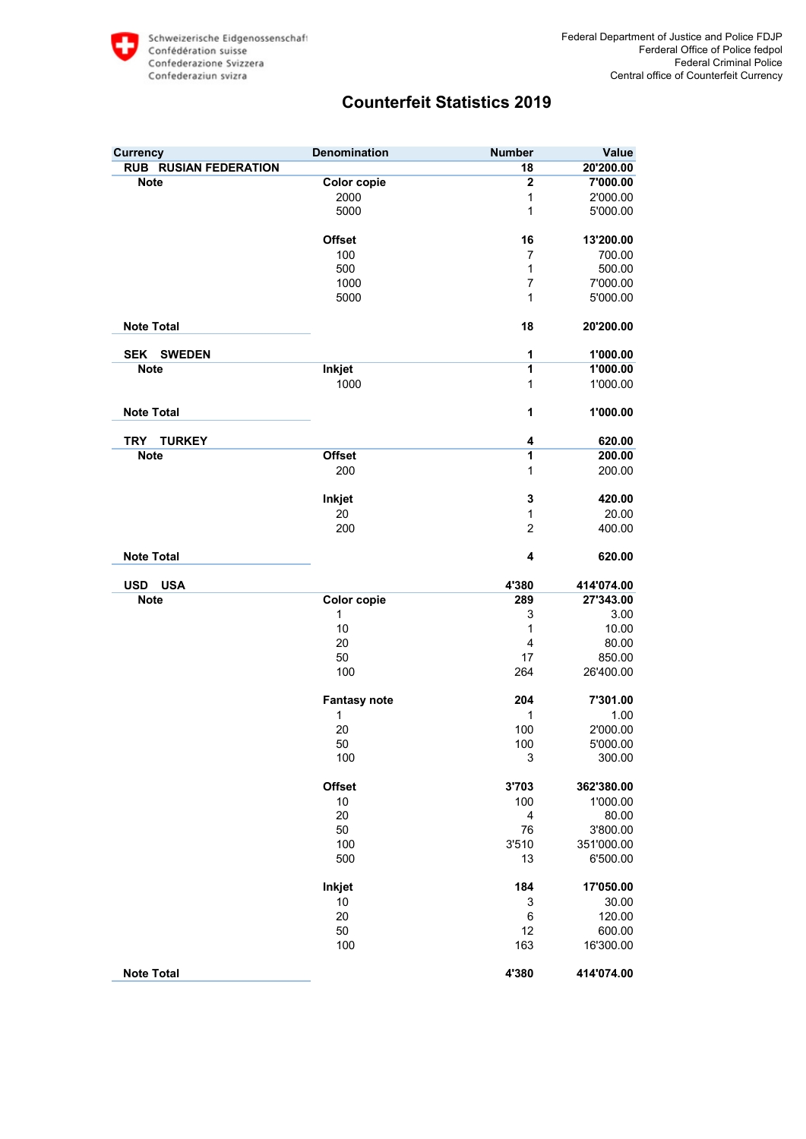| <b>Currency</b>              | <b>Denomination</b> | <b>Number</b>             | Value      |
|------------------------------|---------------------|---------------------------|------------|
| <b>RUB RUSIAN FEDERATION</b> |                     | 18                        | 20'200.00  |
| <b>Note</b>                  | <b>Color copie</b>  | $\overline{2}$            | 7'000.00   |
|                              | 2000                | 1                         | 2'000.00   |
|                              | 5000                | 1                         | 5'000.00   |
|                              | <b>Offset</b>       | 16                        | 13'200.00  |
|                              | 100                 | 7                         | 700.00     |
|                              | 500                 | 1                         | 500.00     |
|                              | 1000                | $\overline{7}$            | 7'000.00   |
|                              | 5000                | 1                         | 5'000.00   |
| <b>Note Total</b>            |                     | 18                        | 20'200.00  |
| SEK SWEDEN                   |                     | 1                         | 1'000.00   |
| <b>Note</b>                  | Inkjet              | 1                         | 1'000.00   |
|                              | 1000                | 1                         | 1'000.00   |
| <b>Note Total</b>            |                     | 1                         | 1'000.00   |
| <b>TURKEY</b><br><b>TRY</b>  |                     | 4                         | 620.00     |
| <b>Note</b>                  | <b>Offset</b>       | 1                         | 200.00     |
|                              | 200                 | 1                         | 200.00     |
|                              | Inkjet              | $\mathbf 3$               | 420.00     |
|                              | 20                  | 1                         | 20.00      |
|                              | 200                 | $\overline{2}$            | 400.00     |
| <b>Note Total</b>            |                     | 4                         | 620.00     |
| <b>USA</b><br><b>USD</b>     |                     | 4'380                     | 414'074.00 |
| <b>Note</b>                  | <b>Color copie</b>  | 289                       | 27'343.00  |
|                              | 1                   | 3                         | 3.00       |
|                              | 10                  | 1                         | 10.00      |
|                              | 20                  | 4                         | 80.00      |
|                              | 50                  | 17                        | 850.00     |
|                              | 100                 | 264                       | 26'400.00  |
|                              | <b>Fantasy note</b> | 204                       | 7'301.00   |
|                              | 1                   | 1                         | 1.00       |
|                              | 20                  | 100                       | 2'000.00   |
|                              | 50                  | 100                       | 5'000.00   |
|                              | 100                 | $\ensuremath{\mathsf{3}}$ | 300.00     |
|                              | <b>Offset</b>       | 3'703                     | 362'380.00 |
|                              | 10                  | 100                       | 1'000.00   |
|                              | 20                  | $\overline{\mathbf{4}}$   | 80.00      |
|                              | 50                  | 76                        | 3'800.00   |
|                              | 100                 | 3'510                     | 351'000.00 |
|                              | 500                 | 13                        | 6'500.00   |
|                              |                     |                           |            |
|                              | Inkjet              | 184                       | 17'050.00  |
|                              | 10                  | 3                         | 30.00      |
|                              | 20                  | $\,6$                     | 120.00     |
|                              | 50                  | 12                        | 600.00     |
|                              | 100                 | 163                       | 16'300.00  |